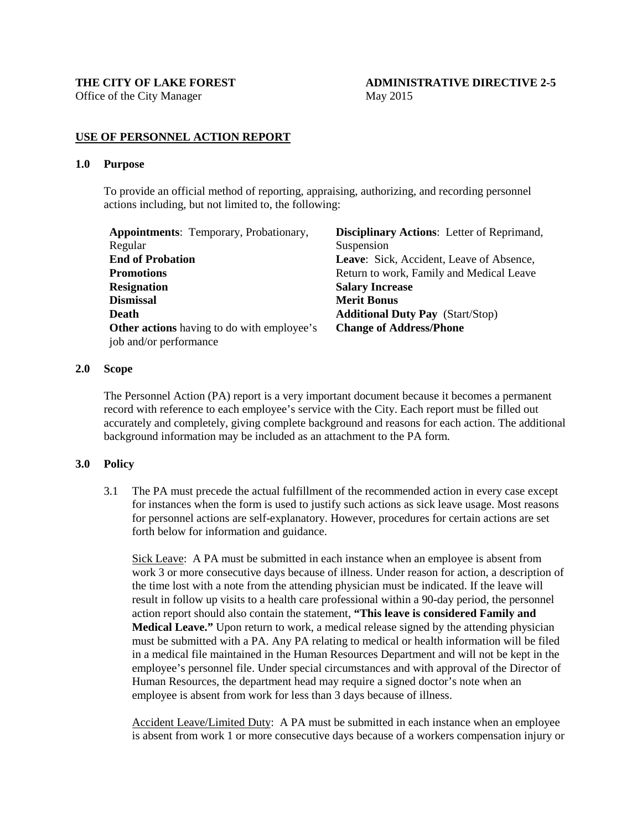Office of the City Manager May 2015

# THE CITY OF LAKE FOREST **ADMINISTRATIVE DIRECTIVE 2-5**

## **USE OF PERSONNEL ACTION REPORT**

#### **1.0 Purpose**

To provide an official method of reporting, appraising, authorizing, and recording personnel actions including, but not limited to, the following:

| <b>Appointments:</b> Temporary, Probationary,     | <b>Disciplinary Actions:</b> Letter of Reprimand, |
|---------------------------------------------------|---------------------------------------------------|
| Regular                                           | Suspension                                        |
| <b>End of Probation</b>                           | Leave: Sick, Accident, Leave of Absence,          |
| <b>Promotions</b>                                 | Return to work, Family and Medical Leave          |
| <b>Resignation</b>                                | <b>Salary Increase</b>                            |
| <b>Dismissal</b>                                  | <b>Merit Bonus</b>                                |
| Death                                             | <b>Additional Duty Pay</b> (Start/Stop)           |
| <b>Other actions</b> having to do with employee's | <b>Change of Address/Phone</b>                    |
| job and/or performance                            |                                                   |
|                                                   |                                                   |

# **2.0 Scope**

The Personnel Action (PA) report is a very important document because it becomes a permanent record with reference to each employee's service with the City. Each report must be filled out accurately and completely, giving complete background and reasons for each action. The additional background information may be included as an attachment to the PA form.

## **3.0 Policy**

3.1 The PA must precede the actual fulfillment of the recommended action in every case except for instances when the form is used to justify such actions as sick leave usage. Most reasons for personnel actions are self-explanatory. However, procedures for certain actions are set forth below for information and guidance.

Sick Leave: A PA must be submitted in each instance when an employee is absent from work 3 or more consecutive days because of illness. Under reason for action, a description of the time lost with a note from the attending physician must be indicated. If the leave will result in follow up visits to a health care professional within a 90-day period, the personnel action report should also contain the statement, **"This leave is considered Family and Medical Leave."** Upon return to work, a medical release signed by the attending physician must be submitted with a PA. Any PA relating to medical or health information will be filed in a medical file maintained in the Human Resources Department and will not be kept in the employee's personnel file. Under special circumstances and with approval of the Director of Human Resources, the department head may require a signed doctor's note when an employee is absent from work for less than 3 days because of illness.

Accident Leave/Limited Duty: A PA must be submitted in each instance when an employee is absent from work 1 or more consecutive days because of a workers compensation injury or